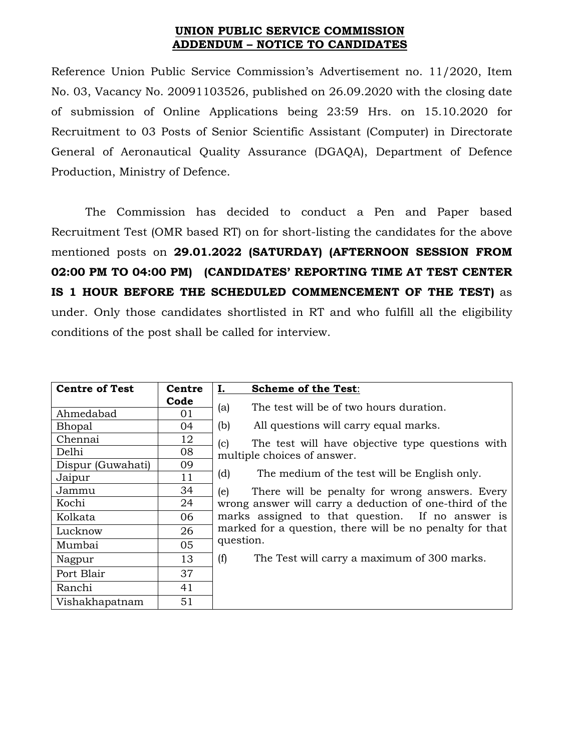## **UNION PUBLIC SERVICE COMMISSION ADDENDUM – NOTICE TO CANDIDATES**

Reference Union Public Service Commission's Advertisement no. 11/2020, Item No. 03, Vacancy No. 20091103526, published on 26.09.2020 with the closing date of submission of Online Applications being 23:59 Hrs. on 15.10.2020 for Recruitment to 03 Posts of Senior Scientific Assistant (Computer) in Directorate General of Aeronautical Quality Assurance (DGAQA), Department of Defence Production, Ministry of Defence.

The Commission has decided to conduct a Pen and Paper based Recruitment Test (OMR based RT) on for short-listing the candidates for the above mentioned posts on **29.01.2022 (SATURDAY) (AFTERNOON SESSION FROM 02:00 PM TO 04:00 PM) (CANDIDATES' REPORTING TIME AT TEST CENTER IS 1 HOUR BEFORE THE SCHEDULED COMMENCEMENT OF THE TEST)** as under. Only those candidates shortlisted in RT and who fulfill all the eligibility conditions of the post shall be called for interview.

| <b>Centre of Test</b> | Centre | Ι.<br><b>Scheme of the Test:</b>                                                                                                                                                                                                                                                                                                    |
|-----------------------|--------|-------------------------------------------------------------------------------------------------------------------------------------------------------------------------------------------------------------------------------------------------------------------------------------------------------------------------------------|
|                       | Code   |                                                                                                                                                                                                                                                                                                                                     |
| Ahmedabad             | 01     | The test will be of two hours duration.<br>(a)                                                                                                                                                                                                                                                                                      |
| Bhopal                | 04     | All questions will carry equal marks.<br>(b)                                                                                                                                                                                                                                                                                        |
| Chennai               | 12     | The test will have objective type questions with<br>(c)                                                                                                                                                                                                                                                                             |
| Delhi                 | 08     | multiple choices of answer.<br>The medium of the test will be English only.<br>(d)<br>(e)<br>There will be penalty for wrong answers. Every<br>wrong answer will carry a deduction of one-third of the<br>marks assigned to that question. If no answer is<br>marked for a question, there will be no penalty for that<br>question. |
| Dispur (Guwahati)     | 09     |                                                                                                                                                                                                                                                                                                                                     |
| Jaipur                | 11     |                                                                                                                                                                                                                                                                                                                                     |
| Jammu                 | 34     |                                                                                                                                                                                                                                                                                                                                     |
| Kochi                 | 24     |                                                                                                                                                                                                                                                                                                                                     |
| Kolkata               | 06     |                                                                                                                                                                                                                                                                                                                                     |
| Lucknow               | 26     |                                                                                                                                                                                                                                                                                                                                     |
| Mumbai                | 05     |                                                                                                                                                                                                                                                                                                                                     |
| Nagpur                | 13     | The Test will carry a maximum of 300 marks.<br>(f)                                                                                                                                                                                                                                                                                  |
| Port Blair            | 37     |                                                                                                                                                                                                                                                                                                                                     |
| Ranchi                | 41     |                                                                                                                                                                                                                                                                                                                                     |
| Vishakhapatnam        | 51     |                                                                                                                                                                                                                                                                                                                                     |